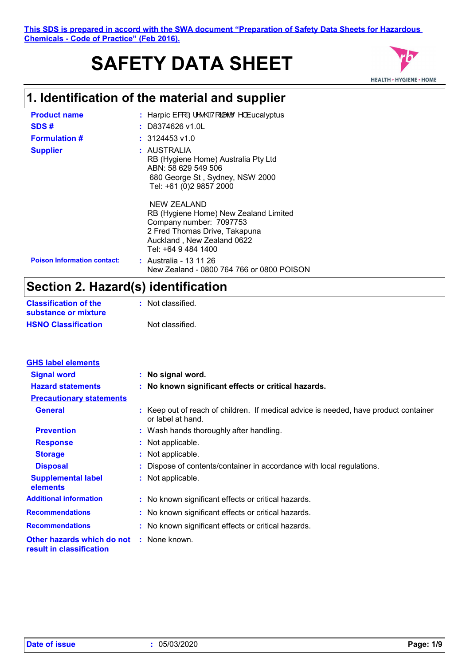# **SAFETY DATA SHEET**



## **1. Identification of the material and supplier**

| <b>Product name</b>                | : Harpic E& $\hat{A} \hat{Z} \hat{A} \hat{Q}$ $\hat{Q}$ $\hat{A} \hat{Q}$ $\hat{Q}$ $\hat{Q}$ $\hat{Q}$ $\hat{Q}$ $\hat{Q}$ $\hat{Q}$ $\hat{Q}$ $\hat{Q}$ $\hat{Q}$ $\hat{Q}$ $\hat{Q}$ $\hat{Q}$ $\hat{Q}$ $\hat{Q}$ $\hat{Q}$ $\hat{Q}$ $\hat{Q}$ $\hat{Q}$ $\hat{Q}$ $\hat{Q}$ $\hat{Q$ |
|------------------------------------|--------------------------------------------------------------------------------------------------------------------------------------------------------------------------------------------------------------------------------------------------------------------------------------------|
| SDS#                               | $:$ D8374626 v1.0L                                                                                                                                                                                                                                                                         |
| <b>Formulation #</b>               | $: 3124453$ v1.0                                                                                                                                                                                                                                                                           |
| <b>Supplier</b>                    | : AUSTRALIA<br>RB (Hygiene Home) Australia Pty Ltd<br>ABN: 58 629 549 506<br>680 George St, Sydney, NSW 2000<br>Tel: +61 (0)2 9857 2000                                                                                                                                                    |
|                                    | NEW ZEALAND<br>RB (Hygiene Home) New Zealand Limited<br>Company number: 7097753<br>2 Fred Thomas Drive, Takapuna<br>Auckland, New Zealand 0622<br>Tel: +64 9 484 1400                                                                                                                      |
| <b>Poison Information contact:</b> | <b>:</b> Australia - 13 11 26<br>New Zealand - 0800 764 766 or 0800 POISON                                                                                                                                                                                                                 |

## **Section 2. Hazard(s) identification**

| <b>Classification of the</b> | : Not classified. |
|------------------------------|-------------------|
| substance or mixture         |                   |
| <b>HSNO Classification</b>   | Not classified.   |

| <b>GHS label elements</b>                              |                                                                                                           |
|--------------------------------------------------------|-----------------------------------------------------------------------------------------------------------|
| <b>Signal word</b>                                     | : No signal word.                                                                                         |
| <b>Hazard statements</b>                               | : No known significant effects or critical hazards.                                                       |
| <b>Precautionary statements</b>                        |                                                                                                           |
| <b>General</b>                                         | : Keep out of reach of children. If medical advice is needed, have product container<br>or label at hand. |
| <b>Prevention</b>                                      | : Wash hands thoroughly after handling.                                                                   |
| <b>Response</b>                                        | : Not applicable.                                                                                         |
| <b>Storage</b>                                         | : Not applicable.                                                                                         |
| <b>Disposal</b>                                        | : Dispose of contents/container in accordance with local regulations.                                     |
| <b>Supplemental label</b><br>elements                  | : Not applicable.                                                                                         |
| <b>Additional information</b>                          | : No known significant effects or critical hazards.                                                       |
| <b>Recommendations</b>                                 | : No known significant effects or critical hazards.                                                       |
| <b>Recommendations</b>                                 | : No known significant effects or critical hazards.                                                       |
| Other hazards which do not<br>result in classification | : None known.                                                                                             |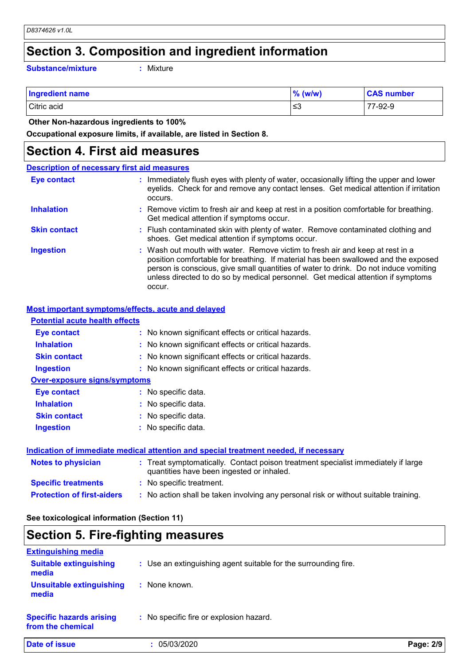### **Section 3. Composition and ingredient information**

**Substance/mixture :**

Mixture

| <b>Ingredient name</b> | $\%$ (w/w) | <b>CAS number</b> |
|------------------------|------------|-------------------|
| Citric acid            | ו≥ ≥       | 77-92-9           |

 **Other Non-hazardous ingredients to 100%**

**Occupational exposure limits, if available, are listed in Section 8.**

#### **Section 4. First aid measures**

#### Wash out mouth with water. Remove victim to fresh air and keep at rest in a position comfortable for breathing. If material has been swallowed and the exposed person is conscious, give small quantities of water to drink. Do not induce vomiting unless directed to do so by medical personnel. Get medical attention if symptoms occur. **:** Immediately flush eyes with plenty of water, occasionally lifting the upper and lower eyelids. Check for and remove any contact lenses. Get medical attention if irritation occurs. Flush contaminated skin with plenty of water. Remove contaminated clothing and **:** shoes. Get medical attention if symptoms occur. Remove victim to fresh air and keep at rest in a position comfortable for breathing. **:** Get medical attention if symptoms occur. **Eye contact Skin contact Inhalation Ingestion : Description of necessary first aid measures**

#### **Most important symptoms/effects, acute and delayed**

| <b>Potential acute health effects</b> |                                                                                                                                |
|---------------------------------------|--------------------------------------------------------------------------------------------------------------------------------|
| Eye contact                           | : No known significant effects or critical hazards.                                                                            |
| <b>Inhalation</b>                     | : No known significant effects or critical hazards.                                                                            |
| <b>Skin contact</b>                   | : No known significant effects or critical hazards.                                                                            |
| <b>Ingestion</b>                      | : No known significant effects or critical hazards.                                                                            |
| <b>Over-exposure signs/symptoms</b>   |                                                                                                                                |
| Eye contact                           | : No specific data.                                                                                                            |
| <b>Inhalation</b>                     | : No specific data.                                                                                                            |
| <b>Skin contact</b>                   | : No specific data.                                                                                                            |
| <b>Ingestion</b>                      | $:$ No specific data.                                                                                                          |
|                                       | Indication of immediate medical attention and special treatment needed, if necessary                                           |
| <b>Notes to physician</b>             | : Treat symptomatically. Contact poison treatment specialist immediately if large<br>quantities have been ingested or inhaled. |
| <b>Specific treatments</b>            | : No specific treatment.                                                                                                       |
| <b>Protection of first-aiders</b>     | : No action shall be taken involving any personal risk or without suitable training.                                           |

#### **See toxicological information (Section 11)**

## **Section 5. Fire-fighting measures**

| <b>Extinguishing media</b>                           |                                                                 |           |
|------------------------------------------------------|-----------------------------------------------------------------|-----------|
| <b>Suitable extinguishing</b><br>media               | : Use an extinguishing agent suitable for the surrounding fire. |           |
| <b>Unsuitable extinguishing</b><br>media             | None known.                                                     |           |
| <b>Specific hazards arising</b><br>from the chemical | No specific fire or explosion hazard.                           |           |
| Date of issue                                        | 05/03/2020                                                      | Page: 2/9 |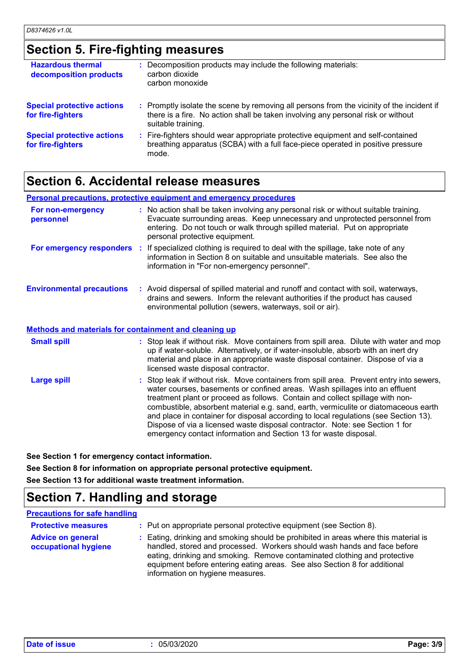## **Section 5. Fire-fighting measures**

| <b>Hazardous thermal</b><br>decomposition products     | : Decomposition products may include the following materials:<br>carbon dioxide<br>carbon monoxide                                                                                                  |
|--------------------------------------------------------|-----------------------------------------------------------------------------------------------------------------------------------------------------------------------------------------------------|
| <b>Special protective actions</b><br>for fire-fighters | : Promptly isolate the scene by removing all persons from the vicinity of the incident if<br>there is a fire. No action shall be taken involving any personal risk or without<br>suitable training. |
| <b>Special protective actions</b><br>for fire-fighters | : Fire-fighters should wear appropriate protective equipment and self-contained<br>breathing apparatus (SCBA) with a full face-piece operated in positive pressure<br>mode.                         |

## **Section 6. Accidental release measures**

|                                                       | <b>Personal precautions, protective equipment and emergency procedures</b>                                                                                                                                                                                                                                                                                                                                                                                                                                                                                                                  |
|-------------------------------------------------------|---------------------------------------------------------------------------------------------------------------------------------------------------------------------------------------------------------------------------------------------------------------------------------------------------------------------------------------------------------------------------------------------------------------------------------------------------------------------------------------------------------------------------------------------------------------------------------------------|
| For non-emergency<br>personnel                        | : No action shall be taken involving any personal risk or without suitable training.<br>Evacuate surrounding areas. Keep unnecessary and unprotected personnel from<br>entering. Do not touch or walk through spilled material. Put on appropriate<br>personal protective equipment.                                                                                                                                                                                                                                                                                                        |
|                                                       | <b>For emergency responders</b> : If specialized clothing is required to deal with the spillage, take note of any<br>information in Section 8 on suitable and unsuitable materials. See also the<br>information in "For non-emergency personnel".                                                                                                                                                                                                                                                                                                                                           |
| <b>Environmental precautions</b>                      | : Avoid dispersal of spilled material and runoff and contact with soil, waterways,<br>drains and sewers. Inform the relevant authorities if the product has caused<br>environmental pollution (sewers, waterways, soil or air).                                                                                                                                                                                                                                                                                                                                                             |
| Methods and materials for containment and cleaning up |                                                                                                                                                                                                                                                                                                                                                                                                                                                                                                                                                                                             |
| <b>Small spill</b>                                    | : Stop leak if without risk. Move containers from spill area. Dilute with water and mop<br>up if water-soluble. Alternatively, or if water-insoluble, absorb with an inert dry<br>material and place in an appropriate waste disposal container. Dispose of via a<br>licensed waste disposal contractor.                                                                                                                                                                                                                                                                                    |
| <b>Large spill</b>                                    | : Stop leak if without risk. Move containers from spill area. Prevent entry into sewers,<br>water courses, basements or confined areas. Wash spillages into an effluent<br>treatment plant or proceed as follows. Contain and collect spillage with non-<br>combustible, absorbent material e.g. sand, earth, vermiculite or diatomaceous earth<br>and place in container for disposal according to local regulations (see Section 13).<br>Dispose of via a licensed waste disposal contractor. Note: see Section 1 for<br>emergency contact information and Section 13 for waste disposal. |

**See Section 1 for emergency contact information. See Section 8 for information on appropriate personal protective equipment.**

**See Section 13 for additional waste treatment information.**

## **Section 7. Handling and storage**

#### **Precautions for safe handling**

| <b>Protective measures</b>                       | : Put on appropriate personal protective equipment (see Section 8).                                                                                                                                                                                                                                                                                           |
|--------------------------------------------------|---------------------------------------------------------------------------------------------------------------------------------------------------------------------------------------------------------------------------------------------------------------------------------------------------------------------------------------------------------------|
| <b>Advice on general</b><br>occupational hygiene | : Eating, drinking and smoking should be prohibited in areas where this material is<br>handled, stored and processed. Workers should wash hands and face before<br>eating, drinking and smoking. Remove contaminated clothing and protective<br>equipment before entering eating areas. See also Section 8 for additional<br>information on hygiene measures. |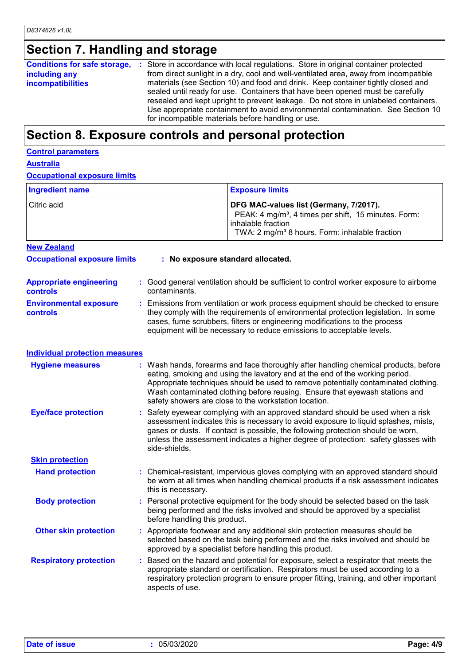## **Section 7. Handling and storage**

| including any<br><b>incompatibilities</b> |  | <b>Conditions for safe storage, :</b> Store in accordance with local regulations. Store in original container protected<br>from direct sunlight in a dry, cool and well-ventilated area, away from incompatible<br>materials (see Section 10) and food and drink. Keep container tightly closed and<br>sealed until ready for use. Containers that have been opened must be carefully<br>resealed and kept upright to prevent leakage. Do not store in unlabeled containers.<br>Use appropriate containment to avoid environmental contamination. See Section 10<br>for incompatible materials before handling or use. |
|-------------------------------------------|--|------------------------------------------------------------------------------------------------------------------------------------------------------------------------------------------------------------------------------------------------------------------------------------------------------------------------------------------------------------------------------------------------------------------------------------------------------------------------------------------------------------------------------------------------------------------------------------------------------------------------|
|-------------------------------------------|--|------------------------------------------------------------------------------------------------------------------------------------------------------------------------------------------------------------------------------------------------------------------------------------------------------------------------------------------------------------------------------------------------------------------------------------------------------------------------------------------------------------------------------------------------------------------------------------------------------------------------|

## **Section 8. Exposure controls and personal protection**

|--|

**Australia**

**Occupational exposure limits**

| <b>Ingredient name</b> | <b>Exposure limits</b>                                                                                                                                                                           |
|------------------------|--------------------------------------------------------------------------------------------------------------------------------------------------------------------------------------------------|
| l Citric acid          | DFG MAC-values list (Germany, 7/2017).<br>PEAK: 4 mg/m <sup>3</sup> , 4 times per shift, 15 minutes. Form:<br>l inhalable fraction<br>TWA: 2 mg/m <sup>3</sup> 8 hours. Form: inhalable fraction |
| <b>New Zealand</b>     |                                                                                                                                                                                                  |

| <b>Occupational exposure limits</b>               | : No exposure standard allocated.                                                                                                                                                                                                                                                                                               |  |  |
|---------------------------------------------------|---------------------------------------------------------------------------------------------------------------------------------------------------------------------------------------------------------------------------------------------------------------------------------------------------------------------------------|--|--|
| <b>Appropriate engineering</b><br><b>controls</b> | : Good general ventilation should be sufficient to control worker exposure to airborne<br>contaminants.                                                                                                                                                                                                                         |  |  |
| <b>Environmental exposure</b><br><b>controls</b>  | : Emissions from ventilation or work process equipment should be checked to ensure<br>they comply with the requirements of environmental protection legislation. In some<br>cases, fume scrubbers, filters or engineering modifications to the process<br>equipment will be necessary to reduce emissions to acceptable levels. |  |  |

| <b>Hygiene measures</b>       | : Wash hands, forearms and face thoroughly after handling chemical products, before<br>eating, smoking and using the lavatory and at the end of the working period.<br>Appropriate techniques should be used to remove potentially contaminated clothing.<br>Wash contaminated clothing before reusing. Ensure that eyewash stations and<br>safety showers are close to the workstation location. |
|-------------------------------|---------------------------------------------------------------------------------------------------------------------------------------------------------------------------------------------------------------------------------------------------------------------------------------------------------------------------------------------------------------------------------------------------|
| <b>Eye/face protection</b>    | : Safety eyewear complying with an approved standard should be used when a risk<br>assessment indicates this is necessary to avoid exposure to liquid splashes, mists,<br>gases or dusts. If contact is possible, the following protection should be worn,<br>unless the assessment indicates a higher degree of protection: safety glasses with<br>side-shields.                                 |
| <b>Skin protection</b>        |                                                                                                                                                                                                                                                                                                                                                                                                   |
| <b>Hand protection</b>        | : Chemical-resistant, impervious gloves complying with an approved standard should<br>be worn at all times when handling chemical products if a risk assessment indicates<br>this is necessary.                                                                                                                                                                                                   |
| <b>Body protection</b>        | : Personal protective equipment for the body should be selected based on the task<br>being performed and the risks involved and should be approved by a specialist<br>before handling this product.                                                                                                                                                                                               |
| <b>Other skin protection</b>  | : Appropriate footwear and any additional skin protection measures should be<br>selected based on the task being performed and the risks involved and should be<br>approved by a specialist before handling this product.                                                                                                                                                                         |
| <b>Respiratory protection</b> | Based on the hazard and potential for exposure, select a respirator that meets the<br>appropriate standard or certification. Respirators must be used according to a<br>respiratory protection program to ensure proper fitting, training, and other important<br>aspects of use.                                                                                                                 |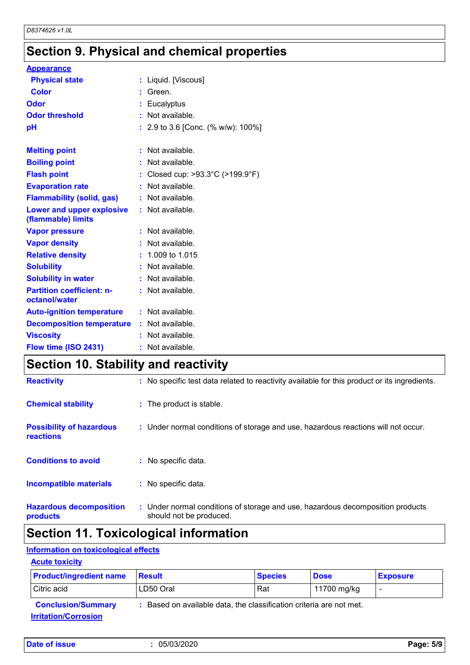## **Section 9. Physical and chemical properties**

| <b>Appearance</b>                                 |                                                       |
|---------------------------------------------------|-------------------------------------------------------|
| <b>Physical state</b>                             | : Liquid. [Viscous]                                   |
| <b>Color</b>                                      | Green.                                                |
| Odor                                              | : Eucalyptus                                          |
| <b>Odor threshold</b>                             | : Not available.                                      |
| рH                                                | : 2.9 to 3.6 [Conc. (% w/w): 100%]                    |
|                                                   |                                                       |
| <b>Melting point</b>                              | : Not available.                                      |
| <b>Boiling point</b>                              | : Not available.                                      |
| <b>Flash point</b>                                | : Closed cup: $>93.3^{\circ}$ C ( $>199.9^{\circ}$ F) |
| <b>Evaporation rate</b>                           | : Not available.                                      |
| <b>Flammability (solid, gas)</b>                  | : Not available.                                      |
| Lower and upper explosive<br>(flammable) limits   | : Not available.                                      |
| <b>Vapor pressure</b>                             | Not available.                                        |
| <b>Vapor density</b>                              | : Not available.                                      |
| <b>Relative density</b>                           | $: 1.009$ to 1.015                                    |
| <b>Solubility</b>                                 | : Not available.                                      |
| <b>Solubility in water</b>                        | : Not available.                                      |
| <b>Partition coefficient: n-</b><br>octanol/water | : Not available.                                      |
| <b>Auto-ignition temperature</b>                  | : Not available.                                      |
| <b>Decomposition temperature</b>                  | $:$ Not available.                                    |
| <b>Viscosity</b>                                  | : Not available.                                      |
| Flow time (ISO 2431)                              | : Not available.                                      |

## **Section 10. Stability and reactivity**

| <b>Reactivity</b>                            | : No specific test data related to reactivity available for this product or its ingredients.              |
|----------------------------------------------|-----------------------------------------------------------------------------------------------------------|
| <b>Chemical stability</b>                    | : The product is stable.                                                                                  |
| <b>Possibility of hazardous</b><br>reactions | : Under normal conditions of storage and use, hazardous reactions will not occur.                         |
| <b>Conditions to avoid</b>                   | : No specific data.                                                                                       |
| <b>Incompatible materials</b>                | : No specific data.                                                                                       |
| <b>Hazardous decomposition</b><br>products   | : Under normal conditions of storage and use, hazardous decomposition products<br>should not be produced. |

## **Section 11. Toxicological information**

### **Information on toxicological effects**

#### **Acute toxicity**

| <b>Product/ingredient name</b>     | <b>Result</b>                                                     | <b>Species</b> | <b>Dose</b> | <b>Exposure</b> |
|------------------------------------|-------------------------------------------------------------------|----------------|-------------|-----------------|
| Citric acid                        | LD50 Oral                                                         | Rat            | 11700 mg/kg |                 |
| <b>Conclusion/Summary</b>          | Based on available data, the classification criteria are not met. |                |             |                 |
| <u><b>Irritation/Corrosion</b></u> |                                                                   |                |             |                 |

| Date of issue | 05/03/2020 | Page: 5/9 |
|---------------|------------|-----------|
|---------------|------------|-----------|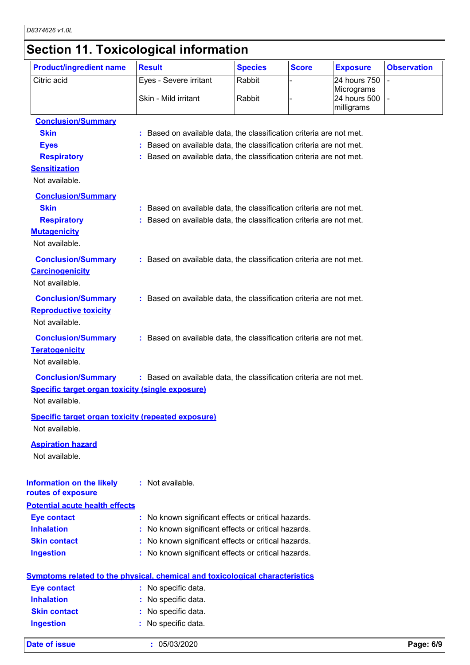## **Section 11. Toxicological information**

| <b>Product/ingredient name</b>                            | <b>Result</b>                                                                       | <b>Species</b> | <b>Score</b> | <b>Exposure</b>            | <b>Observation</b> |
|-----------------------------------------------------------|-------------------------------------------------------------------------------------|----------------|--------------|----------------------------|--------------------|
| Citric acid                                               | Eyes - Severe irritant                                                              | Rabbit         |              | 24 hours 750               |                    |
|                                                           | Skin - Mild irritant                                                                | Rabbit         |              | Micrograms<br>24 hours 500 |                    |
|                                                           |                                                                                     |                |              | milligrams                 |                    |
| <b>Conclusion/Summary</b>                                 |                                                                                     |                |              |                            |                    |
| <b>Skin</b>                                               | : Based on available data, the classification criteria are not met.                 |                |              |                            |                    |
| <b>Eyes</b>                                               | : Based on available data, the classification criteria are not met.                 |                |              |                            |                    |
| <b>Respiratory</b>                                        | : Based on available data, the classification criteria are not met.                 |                |              |                            |                    |
| <b>Sensitization</b>                                      |                                                                                     |                |              |                            |                    |
| Not available.                                            |                                                                                     |                |              |                            |                    |
| <b>Conclusion/Summary</b>                                 |                                                                                     |                |              |                            |                    |
| <b>Skin</b>                                               | : Based on available data, the classification criteria are not met.                 |                |              |                            |                    |
| <b>Respiratory</b>                                        | : Based on available data, the classification criteria are not met.                 |                |              |                            |                    |
| <b>Mutagenicity</b>                                       |                                                                                     |                |              |                            |                    |
| Not available.                                            |                                                                                     |                |              |                            |                    |
| <b>Conclusion/Summary</b>                                 | : Based on available data, the classification criteria are not met.                 |                |              |                            |                    |
| <b>Carcinogenicity</b>                                    |                                                                                     |                |              |                            |                    |
| Not available.                                            |                                                                                     |                |              |                            |                    |
|                                                           |                                                                                     |                |              |                            |                    |
| <b>Conclusion/Summary</b>                                 | : Based on available data, the classification criteria are not met.                 |                |              |                            |                    |
| <b>Reproductive toxicity</b>                              |                                                                                     |                |              |                            |                    |
| Not available.                                            |                                                                                     |                |              |                            |                    |
| <b>Conclusion/Summary</b>                                 | : Based on available data, the classification criteria are not met.                 |                |              |                            |                    |
| <b>Teratogenicity</b>                                     |                                                                                     |                |              |                            |                    |
| Not available.                                            |                                                                                     |                |              |                            |                    |
| <b>Conclusion/Summary</b>                                 | : Based on available data, the classification criteria are not met.                 |                |              |                            |                    |
| <b>Specific target organ toxicity (single exposure)</b>   |                                                                                     |                |              |                            |                    |
| Not available.                                            |                                                                                     |                |              |                            |                    |
| <b>Specific target organ toxicity (repeated exposure)</b> |                                                                                     |                |              |                            |                    |
| Not available.                                            |                                                                                     |                |              |                            |                    |
| <b>Aspiration hazard</b>                                  |                                                                                     |                |              |                            |                    |
| Not available.                                            |                                                                                     |                |              |                            |                    |
|                                                           |                                                                                     |                |              |                            |                    |
| <b>Information on the likely</b>                          | : Not available.                                                                    |                |              |                            |                    |
| routes of exposure                                        |                                                                                     |                |              |                            |                    |
| <b>Potential acute health effects</b>                     |                                                                                     |                |              |                            |                    |
| <b>Eye contact</b>                                        | : No known significant effects or critical hazards.                                 |                |              |                            |                    |
| <b>Inhalation</b>                                         | : No known significant effects or critical hazards.                                 |                |              |                            |                    |
| <b>Skin contact</b>                                       | : No known significant effects or critical hazards.                                 |                |              |                            |                    |
| <b>Ingestion</b>                                          | : No known significant effects or critical hazards.                                 |                |              |                            |                    |
|                                                           |                                                                                     |                |              |                            |                    |
|                                                           | <b>Symptoms related to the physical, chemical and toxicological characteristics</b> |                |              |                            |                    |
| <b>Eye contact</b><br><b>Inhalation</b>                   | : No specific data.                                                                 |                |              |                            |                    |
|                                                           | : No specific data.                                                                 |                |              |                            |                    |
| <b>Skin contact</b>                                       | : No specific data.                                                                 |                |              |                            |                    |
| <b>Ingestion</b>                                          | No specific data.                                                                   |                |              |                            |                    |
| <b>Date of issue</b>                                      | : 05/03/2020                                                                        |                |              |                            | Page: 6/9          |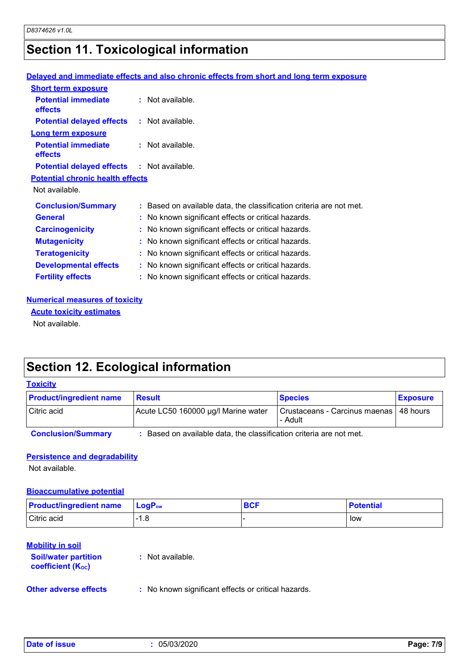## **Section 11. Toxicological information**

#### **Delayed and immediate effects and also chronic effects from short and long term exposure**

| <b>Short term exposure</b>                        |                                                                     |
|---------------------------------------------------|---------------------------------------------------------------------|
| <b>Potential immediate</b><br>effects             | $:$ Not available.                                                  |
| <b>Potential delayed effects : Not available.</b> |                                                                     |
| <b>Long term exposure</b>                         |                                                                     |
| <b>Potential immediate</b><br><b>effects</b>      | $:$ Not available.                                                  |
| <b>Potential delayed effects : Not available.</b> |                                                                     |
| <b>Potential chronic health effects</b>           |                                                                     |
| Not available.                                    |                                                                     |
| <b>Conclusion/Summary</b>                         | : Based on available data, the classification criteria are not met. |
| <b>General</b>                                    | : No known significant effects or critical hazards.                 |
| <b>Carcinogenicity</b>                            | : No known significant effects or critical hazards.                 |
| <b>Mutagenicity</b>                               | : No known significant effects or critical hazards.                 |
| <b>Teratogenicity</b>                             | : No known significant effects or critical hazards.                 |
| <b>Developmental effects</b>                      | : No known significant effects or critical hazards.                 |
| <b>Fertility effects</b>                          | : No known significant effects or critical hazards.                 |

#### **Numerical measures of toxicity**

**Acute toxicity estimates**

Not available.

## **Section 12. Ecological information**

#### **Toxicity**

| <b>Product/ingredient name</b> | <b>Result</b>                       | <b>Species</b>                                      | <b>Exposure</b> |
|--------------------------------|-------------------------------------|-----------------------------------------------------|-----------------|
| Citric acid                    | Acute LC50 160000 µg/l Marine water | Crustaceans - Carcinus maenas   48 hours<br>- Adult |                 |

**Conclusion/Summary :** Based on available data, the classification criteria are not met.

#### **Persistence and degradability**

Not available.

#### **Bioaccumulative potential**

| <b>Product/ingredient name</b> | $\mathsf{LocP}_\mathsf{ow}$ | <b>BCF</b> | <b>Potential</b> |
|--------------------------------|-----------------------------|------------|------------------|
| Citric acid                    | - 0<br>1.C                  |            | low              |

#### **Mobility in soil**

| <b>Soil/water partition</b><br>coefficient (K <sub>oc</sub> ) | : Not available.                                    |
|---------------------------------------------------------------|-----------------------------------------------------|
| <b>Other adverse effects</b>                                  | : No known significant effects or critical hazards. |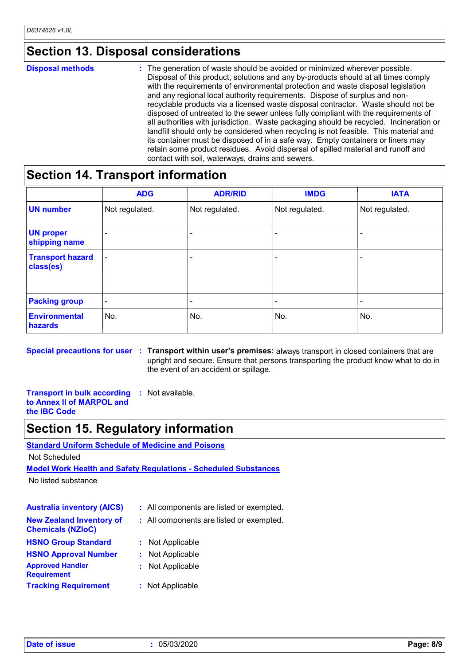### **Section 13. Disposal considerations**

#### The generation of waste should be avoided or minimized wherever possible. Disposal of this product, solutions and any by-products should at all times comply with the requirements of environmental protection and waste disposal legislation and any regional local authority requirements. Dispose of surplus and nonrecyclable products via a licensed waste disposal contractor. Waste should not be disposed of untreated to the sewer unless fully compliant with the requirements of all authorities with jurisdiction. Waste packaging should be recycled. Incineration or landfill should only be considered when recycling is not feasible. This material and its container must be disposed of in a safe way. Empty containers or liners may retain some product residues. Avoid dispersal of spilled material and runoff and contact with soil, waterways, drains and sewers. **Disposal methods :**

## **Section 14. Transport information**

|                                      | <b>ADG</b>               | <b>ADR/RID</b> | <b>IMDG</b>    | <b>IATA</b>    |
|--------------------------------------|--------------------------|----------------|----------------|----------------|
| <b>UN number</b>                     | Not regulated.           | Not regulated. | Not regulated. | Not regulated. |
| <b>UN proper</b><br>shipping name    |                          |                |                |                |
| <b>Transport hazard</b><br>class(es) | $\overline{\phantom{a}}$ |                |                |                |
| <b>Packing group</b>                 | $\overline{\phantom{a}}$ |                |                |                |
| <b>Environmental</b><br>hazards      | No.                      | No.            | No.            | No.            |

**Special precautions for user Transport within user's premises:** always transport in closed containers that are **:** upright and secure. Ensure that persons transporting the product know what to do in the event of an accident or spillage.

**Transport in bulk according to Annex II of MARPOL and the IBC Code :** Not available.

## **Section 15. Regulatory information**

**Standard Uniform Schedule of Medicine and Poisons**

Not Scheduled

**Model Work Health and Safety Regulations - Scheduled Substances**

No listed substance

| <b>Australia inventory (AICS)</b>                           |    | : All components are listed or exempted. |
|-------------------------------------------------------------|----|------------------------------------------|
| <b>New Zealand Inventory of</b><br><b>Chemicals (NZIoC)</b> |    | : All components are listed or exempted. |
| <b>HSNO Group Standard</b>                                  |    | : Not Applicable                         |
| <b>HSNO Approval Number</b>                                 | t. | Not Applicable                           |
| <b>Approved Handler</b><br><b>Requirement</b>               | t. | Not Applicable                           |
| <b>Tracking Requirement</b>                                 |    | : Not Applicable                         |